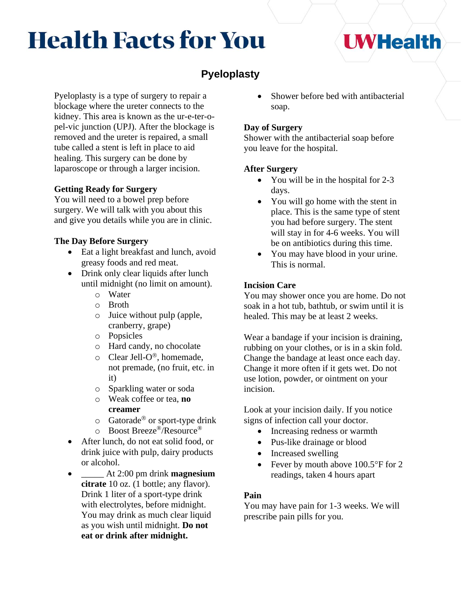# **Health Facts for You**

### **Pyeloplasty**

Pyeloplasty is a type of surgery to repair a blockage where the ureter connects to the kidney. This area is known as the ur-e-ter-opel-vic junction (UPJ). After the blockage is removed and the ureter is repaired, a small tube called a stent is left in place to aid healing. This surgery can be done by laparoscope or through a larger incision.

### **Getting Ready for Surgery**

You will need to a bowel prep before surgery. We will talk with you about this and give you details while you are in clinic.

### **The Day Before Surgery**

- Eat a light breakfast and lunch, avoid greasy foods and red meat.
- Drink only clear liquids after lunch until midnight (no limit on amount).
	- o Water
	- o Broth
	- o Juice without pulp (apple, cranberry, grape)
	- o Popsicles
	- o Hard candy, no chocolate
	- $\circ$  Clear Jell-O<sup>®</sup>, homemade, not premade, (no fruit, etc. in it)
	- o Sparkling water or soda
	- o Weak coffee or tea, **no creamer**
	- $\circ$  Gatorade<sup>®</sup> or sport-type drink
	- o Boost Breeze®/Resource®
- After lunch, do not eat solid food, or drink juice with pulp, dairy products or alcohol.
- \_\_\_\_\_ At 2:00 pm drink **magnesium citrate** 10 oz. (1 bottle; any flavor). Drink 1 liter of a sport-type drink with electrolytes, before midnight. You may drink as much clear liquid as you wish until midnight. **Do not eat or drink after midnight.**

Shower before bed with antibacterial soap.

### **Day of Surgery**

Shower with the antibacterial soap before you leave for the hospital.

### **After Surgery**

- You will be in the hospital for 2-3 days.
- You will go home with the stent in place. This is the same type of stent you had before surgery. The stent will stay in for 4-6 weeks. You will be on antibiotics during this time.
- You may have blood in your urine. This is normal.

### **Incision Care**

You may shower once you are home. Do not soak in a hot tub, bathtub, or swim until it is healed. This may be at least 2 weeks.

Wear a bandage if your incision is draining, rubbing on your clothes, or is in a skin fold. Change the bandage at least once each day. Change it more often if it gets wet. Do not use lotion, powder, or ointment on your incision.

Look at your incision daily. If you notice signs of infection call your doctor.

- Increasing redness or warmth
- Pus-like drainage or blood
- Increased swelling
- Fever by mouth above  $100.5^{\circ}$ F for 2 readings, taken 4 hours apart

### **Pain**

You may have pain for 1-3 weeks. We will prescribe pain pills for you.

## **UWHealth**